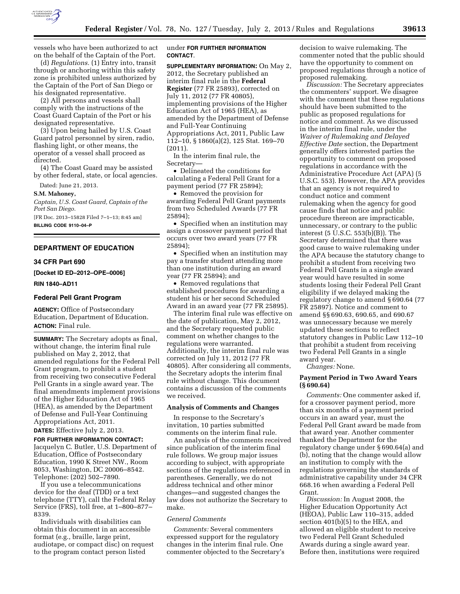

vessels who have been authorized to act on the behalf of the Captain of the Port.

(d) *Regulations.* (1) Entry into, transit through or anchoring within this safety zone is prohibited unless authorized by the Captain of the Port of San Diego or his designated representative.

(2) All persons and vessels shall comply with the instructions of the Coast Guard Captain of the Port or his designated representative.

(3) Upon being hailed by U.S. Coast Guard patrol personnel by siren, radio, flashing light, or other means, the operator of a vessel shall proceed as directed.

(4) The Coast Guard may be assisted by other federal, state, or local agencies.

Dated: June 21, 2013.

**S.M. Mahoney,** 

*Captain, U.S. Coast Guard, Captain of the Port San Diego.*  [FR Doc. 2013–15828 Filed 7–1–13; 8:45 am]

**BILLING CODE 9110–04–P** 

# **DEPARTMENT OF EDUCATION**

#### **34 CFR Part 690**

**[Docket ID ED–2012–OPE–0006]** 

#### **RIN 1840–AD11**

## **Federal Pell Grant Program**

**AGENCY:** Office of Postsecondary Education, Department of Education. **ACTION:** Final rule.

**SUMMARY:** The Secretary adopts as final, without change, the interim final rule published on May 2, 2012, that amended regulations for the Federal Pell Grant program, to prohibit a student from receiving two consecutive Federal Pell Grants in a single award year. The final amendments implement provisions of the Higher Education Act of 1965 (HEA), as amended by the Department of Defense and Full-Year Continuing Appropriations Act, 2011.

**DATES:** Effective July 2, 2013.

**FOR FURTHER INFORMATION CONTACT:**  Jacquelyn C. Butler, U.S. Department of Education, Office of Postsecondary Education, 1990 K Street NW., Room 8053, Washington, DC 20006–8542. Telephone: (202) 502–7890.

If you use a telecommunications device for the deaf (TDD) or a text telephone (TTY), call the Federal Relay Service (FRS), toll free, at 1–800–877– 8339.

Individuals with disabilities can obtain this document in an accessible format (e.g., braille, large print, audiotape, or compact disc) on request to the program contact person listed

# under **FOR FURTHER INFORMATION CONTACT**.

**SUPPLEMENTARY INFORMATION:** On May 2, 2012, the Secretary published an interim final rule in the **Federal Register** (77 FR 25893), corrected on July 11, 2012 (77 FR 40805), implementing provisions of the Higher Education Act of 1965 (HEA), as amended by the Department of Defense and Full-Year Continuing Appropriations Act, 2011, Public Law 112–10, § 1860(a)(2), 125 Stat. 169–70 (2011).

In the interim final rule, the Secretary—

• Delineated the conditions for calculating a Federal Pell Grant for a payment period (77 FR 25894);

• Removed the provision for awarding Federal Pell Grant payments from two Scheduled Awards (77 FR 25894);

• Specified when an institution may assign a crossover payment period that occurs over two award years (77 FR 25894);

• Specified when an institution may pay a transfer student attending more than one institution during an award year (77 FR 25894); and

• Removed regulations that established procedures for awarding a student his or her second Scheduled Award in an award year (77 FR 25895).

The interim final rule was effective on the date of publication, May 2, 2012, and the Secretary requested public comment on whether changes to the regulations were warranted. Additionally, the interim final rule was corrected on July 11, 2012 (77 FR 40805). After considering all comments, the Secretary adopts the interim final rule without change. This document contains a discussion of the comments we received.

## **Analysis of Comments and Changes**

In response to the Secretary's invitation, 10 parties submitted comments on the interim final rule.

An analysis of the comments received since publication of the interim final rule follows. We group major issues according to subject, with appropriate sections of the regulations referenced in parentheses. Generally, we do not address technical and other minor changes—and suggested changes the law does not authorize the Secretary to make.

## *General Comments*

*Comments:* Several commenters expressed support for the regulatory changes in the interim final rule. One commenter objected to the Secretary's

decision to waive rulemaking. The commenter noted that the public should have the opportunity to comment on proposed regulations through a notice of proposed rulemaking.

*Discussion:* The Secretary appreciates the commenters' support. We disagree with the comment that these regulations should have been submitted to the public as proposed regulations for notice and comment. As we discussed in the interim final rule, under the *Waiver of Rulemaking and Delayed Effective Date* section, the Department generally offers interested parties the opportunity to comment on proposed regulations in accordance with the Administrative Procedure Act (APA) (5 U.S.C. 553). However, the APA provides that an agency is not required to conduct notice and comment rulemaking when the agency for good cause finds that notice and public procedure thereon are impracticable, unnecessary, or contrary to the public interest (5 U.S.C. 553(b)(B)). The Secretary determined that there was good cause to waive rulemaking under the APA because the statutory change to prohibit a student from receiving two Federal Pell Grants in a single award year would have resulted in some students losing their Federal Pell Grant eligibility if we delayed making the regulatory change to amend § 690.64 (77 FR 25897). Notice and comment to amend §§ 690.63, 690.65, and 690.67 was unnecessary because we merely updated these sections to reflect statutory changes in Public Law 112–10 that prohibit a student from receiving two Federal Pell Grants in a single award year.

*Changes:* None.

#### **Payment Period in Two Award Years (§ 690.64)**

*Comments:* One commenter asked if, for a crossover payment period, more than six months of a payment period occurs in an award year, must the Federal Pell Grant award be made from that award year. Another commenter thanked the Department for the regulatory change under § 690.64(a) and (b), noting that the change would allow an institution to comply with the regulations governing the standards of administrative capability under 34 CFR 668.16 when awarding a Federal Pell Grant.

*Discussion:* In August 2008, the Higher Education Opportunity Act (HEOA), Public Law 110–315, added section 401(b)(5) to the HEA, and allowed an eligible student to receive two Federal Pell Grant Scheduled Awards during a single award year. Before then, institutions were required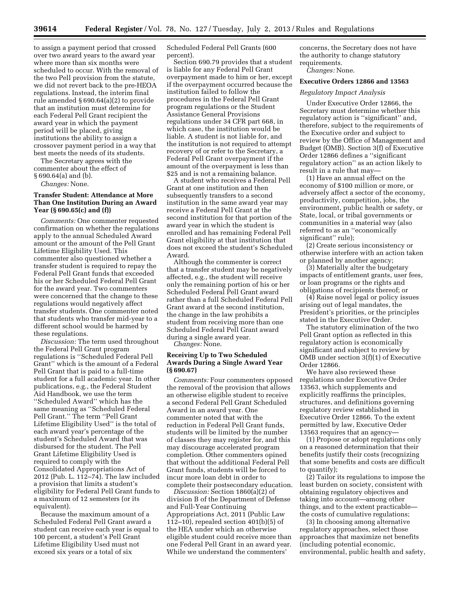to assign a payment period that crossed over two award years to the award year where more than six months were scheduled to occur. With the removal of the two Pell provision from the statute, we did not revert back to the pre-HEOA regulations. Instead, the interim final rule amended § 690.64(a)(2) to provide that an institution must determine for each Federal Pell Grant recipient the award year in which the payment period will be placed, giving institutions the ability to assign a crossover payment period in a way that best meets the needs of its students.

The Secretary agrees with the commenter about the effect of § 690.64(a) and (b).

*Changes:* None.

# **Transfer Student: Attendance at More Than One Institution During an Award Year (§ 690.65(c) and (f))**

*Comments:* One commenter requested confirmation on whether the regulations apply to the annual Scheduled Award amount or the amount of the Pell Grant Lifetime Eligibility Used. This commenter also questioned whether a transfer student is required to repay the Federal Pell Grant funds that exceeded his or her Scheduled Federal Pell Grant for the award year. Two commenters were concerned that the change to these regulations would negatively affect transfer students. One commenter noted that students who transfer mid-year to a different school would be harmed by these regulations.

*Discussion:* The term used throughout the Federal Pell Grant program regulations is ''Scheduled Federal Pell Grant'' which is the amount of a Federal Pell Grant that is paid to a full-time student for a full academic year. In other publications, e.g., the Federal Student Aid Handbook, we use the term ''Scheduled Award'' which has the same meaning as ''Scheduled Federal Pell Grant.'' The term ''Pell Grant Lifetime Eligibility Used'' is the total of each award year's percentage of the student's Scheduled Award that was disbursed for the student. The Pell Grant Lifetime Eligibility Used is required to comply with the Consolidated Appropriations Act of 2012 (Pub. L. 112–74). The law included a provision that limits a student's eligibility for Federal Pell Grant funds to a maximum of 12 semesters (or its equivalent).

Because the maximum amount of a Scheduled Federal Pell Grant award a student can receive each year is equal to 100 percent, a student's Pell Grant Lifetime Eligibility Used must not exceed six years or a total of six

Scheduled Federal Pell Grants (600 percent).

Section 690.79 provides that a student is liable for any Federal Pell Grant overpayment made to him or her, except if the overpayment occurred because the institution failed to follow the procedures in the Federal Pell Grant program regulations or the Student Assistance General Provisions regulations under 34 CFR part 668, in which case, the institution would be liable. A student is not liable for, and the institution is not required to attempt recovery of or refer to the Secretary, a Federal Pell Grant overpayment if the amount of the overpayment is less than \$25 and is not a remaining balance.

A student who receives a Federal Pell Grant at one institution and then subsequently transfers to a second institution in the same award year may receive a Federal Pell Grant at the second institution for that portion of the award year in which the student is enrolled and has remaining Federal Pell Grant eligibility at that institution that does not exceed the student's Scheduled Award.

Although the commenter is correct that a transfer student may be negatively affected, e.g., the student will receive only the remaining portion of his or her Scheduled Federal Pell Grant award rather than a full Scheduled Federal Pell Grant award at the second institution, the change in the law prohibits a student from receiving more than one Scheduled Federal Pell Grant award during a single award year.

*Changes:* None.

# **Receiving Up to Two Scheduled Awards During a Single Award Year (§ 690.67)**

*Comments:* Four commenters opposed the removal of the provision that allows an otherwise eligible student to receive a second Federal Pell Grant Scheduled Award in an award year. One commenter noted that with the reduction in Federal Pell Grant funds, students will be limited by the number of classes they may register for, and this may discourage accelerated program completion. Other commenters opined that without the additional Federal Pell Grant funds, students will be forced to incur more loan debt in order to complete their postsecondary education.

*Discussion:* Section 1860(a)(2) of division B of the Department of Defense and Full-Year Continuing Appropriations Act, 2011 (Public Law 112–10), repealed section 401(b)(5) of the HEA under which an otherwise eligible student could receive more than one Federal Pell Grant in an award year. While we understand the commenters'

concerns, the Secretary does not have the authority to change statutory requirements.

*Changes:* None.

# **Executive Orders 12866 and 13563**

#### *Regulatory Impact Analysis*

Under Executive Order 12866, the Secretary must determine whether this regulatory action is ''significant'' and, therefore, subject to the requirements of the Executive order and subject to review by the Office of Management and Budget (OMB). Section 3(f) of Executive Order 12866 defines a ''significant regulatory action'' as an action likely to result in a rule that may—

(1) Have an annual effect on the economy of \$100 million or more, or adversely affect a sector of the economy, productivity, competition, jobs, the environment, public health or safety, or State, local, or tribal governments or communities in a material way (also referred to as an ''economically significant'' rule);

(2) Create serious inconsistency or otherwise interfere with an action taken or planned by another agency;

(3) Materially alter the budgetary impacts of entitlement grants, user fees, or loan programs or the rights and obligations of recipients thereof; or

(4) Raise novel legal or policy issues arising out of legal mandates, the President's priorities, or the principles stated in the Executive Order.

The statutory elimination of the two Pell Grant option as reflected in this regulatory action is economically significant and subject to review by OMB under section 3(f)(1) of Executive Order 12866.

We have also reviewed these regulations under Executive Order 13563, which supplements and explicitly reaffirms the principles, structures, and definitions governing regulatory review established in Executive Order 12866. To the extent permitted by law, Executive Order 13563 requires that an agency—

(1) Propose or adopt regulations only on a reasoned determination that their benefits justify their costs (recognizing that some benefits and costs are difficult to quantify);

(2) Tailor its regulations to impose the least burden on society, consistent with obtaining regulatory objectives and taking into account—among other things, and to the extent practicable the costs of cumulative regulations;

(3) In choosing among alternative regulatory approaches, select those approaches that maximize net benefits (including potential economic, environmental, public health and safety,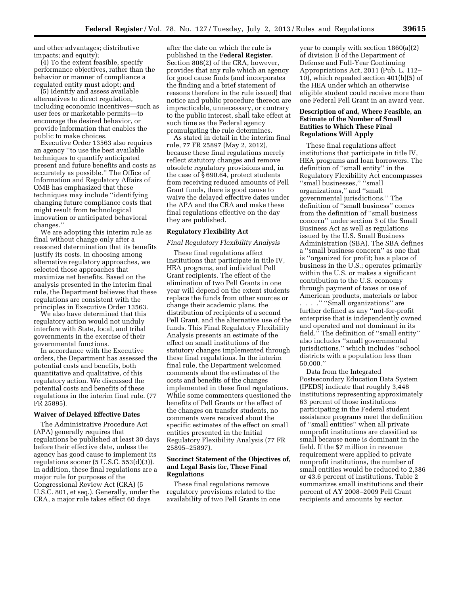and other advantages; distributive impacts; and equity);

(4) To the extent feasible, specify performance objectives, rather than the behavior or manner of compliance a regulated entity must adopt; and

(5) Identify and assess available alternatives to direct regulation, including economic incentives—such as user fees or marketable permits—to encourage the desired behavior, or provide information that enables the public to make choices.

Executive Order 13563 also requires an agency ''to use the best available techniques to quantify anticipated present and future benefits and costs as accurately as possible.'' The Office of Information and Regulatory Affairs of OMB has emphasized that these techniques may include ''identifying changing future compliance costs that might result from technological innovation or anticipated behavioral changes.''

We are adopting this interim rule as final without change only after a reasoned determination that its benefits justify its costs. In choosing among alternative regulatory approaches, we selected those approaches that maximize net benefits. Based on the analysis presented in the interim final rule, the Department believes that these regulations are consistent with the principles in Executive Order 13563.

We also have determined that this regulatory action would not unduly interfere with State, local, and tribal governments in the exercise of their governmental functions.

In accordance with the Executive orders, the Department has assessed the potential costs and benefits, both quantitative and qualitative, of this regulatory action. We discussed the potential costs and benefits of these regulations in the interim final rule. (77 FR 25895).

## **Waiver of Delayed Effective Dates**

The Administrative Procedure Act (APA) generally requires that regulations be published at least 30 days before their effective date, unless the agency has good cause to implement its regulations sooner  $(5 \text{ U.S.C. } 553(d)(3)).$ In addition, these final regulations are a major rule for purposes of the Congressional Review Act (CRA) (5 U.S.C. 801, et seq.). Generally, under the CRA, a major rule takes effect 60 days

after the date on which the rule is published in the **Federal Register.**  Section 808(2) of the CRA, however, provides that any rule which an agency for good cause finds (and incorporates the finding and a brief statement of reasons therefore in the rule issued) that notice and public procedure thereon are impracticable, unnecessary, or contrary to the public interest, shall take effect at such time as the Federal agency promulgating the rule determines.

As stated in detail in the interim final rule, 77 FR 25897 (May 2, 2012), because these final regulations merely reflect statutory changes and remove obsolete regulatory provisions and, in the case of § 690.64, protect students from receiving reduced amounts of Pell Grant funds, there is good cause to waive the delayed effective dates under the APA and the CRA and make these final regulations effective on the day they are published.

## **Regulatory Flexibility Act**

#### *Final Regulatory Flexibility Analysis*

These final regulations affect institutions that participate in title IV, HEA programs, and individual Pell Grant recipients. The effect of the elimination of two Pell Grants in one year will depend on the extent students replace the funds from other sources or change their academic plans, the distribution of recipients of a second Pell Grant, and the alternative use of the funds. This Final Regulatory Flexibility Analysis presents an estimate of the effect on small institutions of the statutory changes implemented through these final regulations. In the interim final rule, the Department welcomed comments about the estimates of the costs and benefits of the changes implemented in these final regulations. While some commenters questioned the benefits of Pell Grants or the effect of the changes on transfer students, no comments were received about the specific estimates of the effect on small entities presented in the Initial Regulatory Flexibility Analysis (77 FR 25895–25897).

# **Succinct Statement of the Objectives of, and Legal Basis for, These Final Regulations**

These final regulations remove regulatory provisions related to the availability of two Pell Grants in one year to comply with section 1860(a)(2) of division B of the Department of Defense and Full-Year Continuing Appropriations Act, 2011 (Pub. L. 112– 10), which repealed section 401(b)(5) of the HEA under which an otherwise eligible student could receive more than one Federal Pell Grant in an award year.

# **Description of and, Where Feasible, an Estimate of the Number of Small Entities to Which These Final Regulations Will Apply**

These final regulations affect institutions that participate in title IV, HEA programs and loan borrowers. The definition of ''small entity'' in the Regulatory Flexibility Act encompasses ''small businesses,'' ''small organizations,'' and ''small governmental jurisdictions.'' The definition of ''small business'' comes from the definition of ''small business concern'' under section 3 of the Small Business Act as well as regulations issued by the U.S. Small Business Administration (SBA). The SBA defines a ''small business concern'' as one that is ''organized for profit; has a place of business in the U.S.; operates primarily within the U.S. or makes a significant contribution to the U.S. economy through payment of taxes or use of American products, materials or labor . . . .'' ''Small organizations'' are further defined as any ''not-for-profit enterprise that is independently owned and operated and not dominant in its field.'' The definition of ''small entity'' also includes ''small governmental jurisdictions,'' which includes ''school districts with a population less than 50,000.''

Data from the Integrated Postsecondary Education Data System (IPEDS) indicate that roughly 3,448 institutions representing approximately 63 percent of those institutions participating in the Federal student assistance programs meet the definition of ''small entities'' when all private nonprofit institutions are classified as small because none is dominant in the field. If the \$7 million in revenue requirement were applied to private nonprofit institutions, the number of small entities would be reduced to 2,386 or 43.6 percent of institutions. Table 2 summarizes small institutions and their percent of AY 2008–2009 Pell Grant recipients and amounts by sector.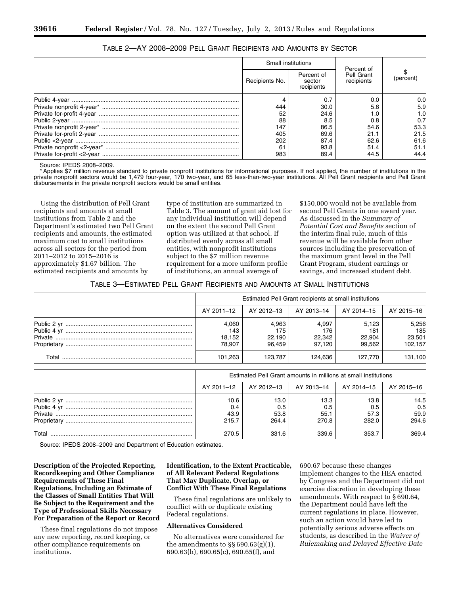| Small institutions |                                    |                                        |           |
|--------------------|------------------------------------|----------------------------------------|-----------|
| Recipients No.     | Percent of<br>sector<br>recipients | Percent of<br>Pell Grant<br>recipients | (percent) |
|                    | 0.7                                | 0.0                                    | 0.0       |
| 444                | 30.0                               | 5.6                                    | 5.9       |
| 52                 | 24.6                               |                                        | 1.0       |
| 88                 | 8.5                                | 0.8                                    | 0.7       |
| 147                | 86.5                               | 54.6                                   | 53.3      |
| 405                | 69.6                               | 21.1                                   | 21.5      |
| 202                | 87.4                               | 62.6                                   | 61.6      |
| 61                 | 93.8                               | 51.4                                   | 51.1      |
| 983                | 89.4                               | 44.5                                   | 44.4      |

# TABLE 2—AY 2008–2009 PELL GRANT RECIPIENTS AND AMOUNTS BY SECTOR

Source: IPEDS 2008–2009.

Applies \$7 million revenue standard to private nonprofit institutions for informational purposes. If not applied, the number of institutions in the private nonprofit sectors would be 1,479 four-year, 170 two-year, and 65 less-than-two-year institutions. All Pell Grant recipients and Pell Grant disbursements in the private nonprofit sectors would be small entities.

Using the distribution of Pell Grant recipients and amounts at small institutions from Table 2 and the Department's estimated two Pell Grant recipients and amounts, the estimated maximum cost to small institutions across all sectors for the period from 2011–2012 to 2015–2016 is approximately \$1.67 billion. The estimated recipients and amounts by

type of institution are summarized in Table 3. The amount of grant aid lost for any individual institution will depend on the extent the second Pell Grant option was utilized at that school. If distributed evenly across all small entities, with nonprofit institutions subject to the \$7 million revenue requirement for a more uniform profile of institutions, an annual average of

\$150,000 would not be available from second Pell Grants in one award year. As discussed in the *Summary of Potential Cost and Benefits* section of the interim final rule, much of this revenue will be available from other sources including the preservation of the maximum grant level in the Pell Grant Program, student earnings or savings, and increased student debt.

TABLE 3—ESTIMATED PELL GRANT RECIPIENTS AND AMOUNTS AT SMALL INSTITUTIONS

|       | Estimated Pell Grant recipients at small institutions |                                  |                                  |                                  |                                   |  |
|-------|-------------------------------------------------------|----------------------------------|----------------------------------|----------------------------------|-----------------------------------|--|
|       | AY 2011-12                                            | AY 2012–13                       | AY 2013–14                       | AY 2014-15                       | AY 2015-16                        |  |
|       | 4.060<br>143<br>18.152<br>78.907                      | 4.963<br>175<br>22.190<br>96.459 | 4.997<br>176<br>22,342<br>97.120 | 5.123<br>181<br>22.904<br>99.562 | 5,256<br>185<br>23.501<br>102.157 |  |
| Total | 101.263                                               | 123.787                          | 124.636                          | 127.770                          | 131.100                           |  |

|       | Estimated Pell Grant amounts in millions at small institutions |                              |                              |                              |                              |  |
|-------|----------------------------------------------------------------|------------------------------|------------------------------|------------------------------|------------------------------|--|
|       | AY 2011–12                                                     | │ AY 2012–13 │               | AY 2013–14                   | AY 2014–15                   | AY 2015–16                   |  |
|       | 10.6<br>0.4<br>43.9<br>215.7                                   | 13.0<br>0.5<br>53.8<br>264.4 | 13.3<br>0.5<br>55.1<br>270.8 | 13.8<br>0.5<br>57.3<br>282.0 | 14.5<br>0.5<br>59.9<br>294.6 |  |
| Total | 270.5                                                          | 331.6                        | 339.6                        | 353.7                        | 369.4                        |  |

Source: IPEDS 2008–2009 and Department of Education estimates.

**Description of the Projected Reporting, Recordkeeping and Other Compliance Requirements of These Final Regulations, Including an Estimate of the Classes of Small Entities That Will Be Subject to the Requirement and the Type of Professional Skills Necessary For Preparation of the Report or Record** 

These final regulations do not impose any new reporting, record keeping, or other compliance requirements on institutions.

# **Identification, to the Extent Practicable, of All Relevant Federal Regulations That May Duplicate, Overlap, or Conflict With These Final Regulations**

These final regulations are unlikely to conflict with or duplicate existing Federal regulations.

#### **Alternatives Considered**

No alternatives were considered for the amendments to  $\S$ § 690.63(g)(1), 690.63(h), 690.65(c), 690.65(f), and

690.67 because these changes implement changes to the HEA enacted by Congress and the Department did not exercise discretion in developing these amendments. With respect to § 690.64, the Department could have left the current regulations in place. However, such an action would have led to potentially serious adverse effects on students, as described in the *Waiver of Rulemaking and Delayed Effective Date*